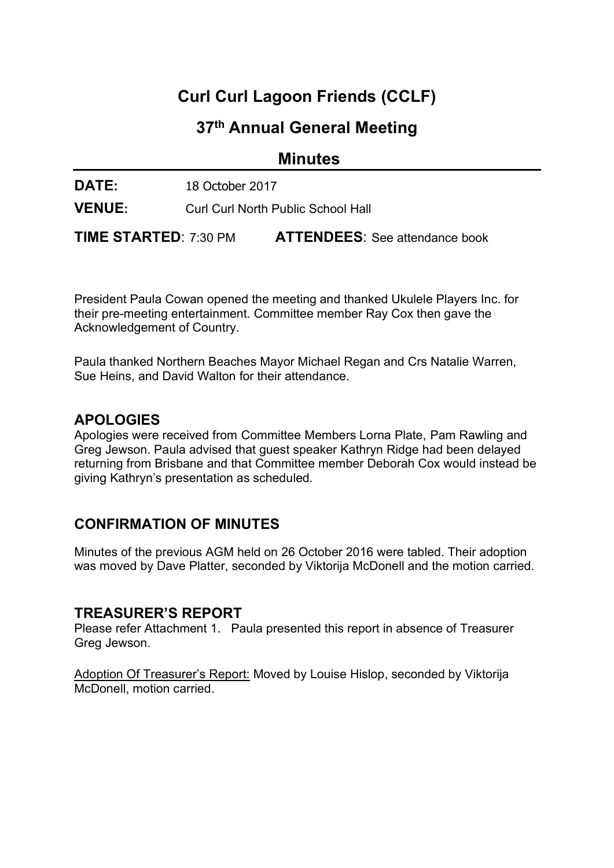# Curl Curl Lagoon Friends (CCLF)

## 37th Annual General Meeting

**Minutes** 

DATE: 18 October 2017

VENUE: Curl Curl North Public School Hall

TIME STARTED: 7:30 PM ATTENDEES: See attendance book

President Paula Cowan opened the meeting and thanked Ukulele Players Inc. for their pre-meeting entertainment. Committee member Ray Cox then gave the Acknowledgement of Country.

Paula thanked Northern Beaches Mayor Michael Regan and Crs Natalie Warren, Sue Heins, and David Walton for their attendance.

#### **APOLOGIES**

Apologies were received from Committee Members Lorna Plate, Pam Rawling and Greg Jewson. Paula advised that guest speaker Kathryn Ridge had been delayed returning from Brisbane and that Committee member Deborah Cox would instead be giving Kathryn's presentation as scheduled.

## CONFIRMATION OF MINUTES

Minutes of the previous AGM held on 26 October 2016 were tabled. Their adoption was moved by Dave Platter, seconded by Viktorija McDonell and the motion carried.

#### TREASURER'S REPORT

Please refer Attachment 1. Paula presented this report in absence of Treasurer Greg Jewson.

Adoption Of Treasurer's Report: Moved by Louise Hislop, seconded by Viktorija McDonell, motion carried.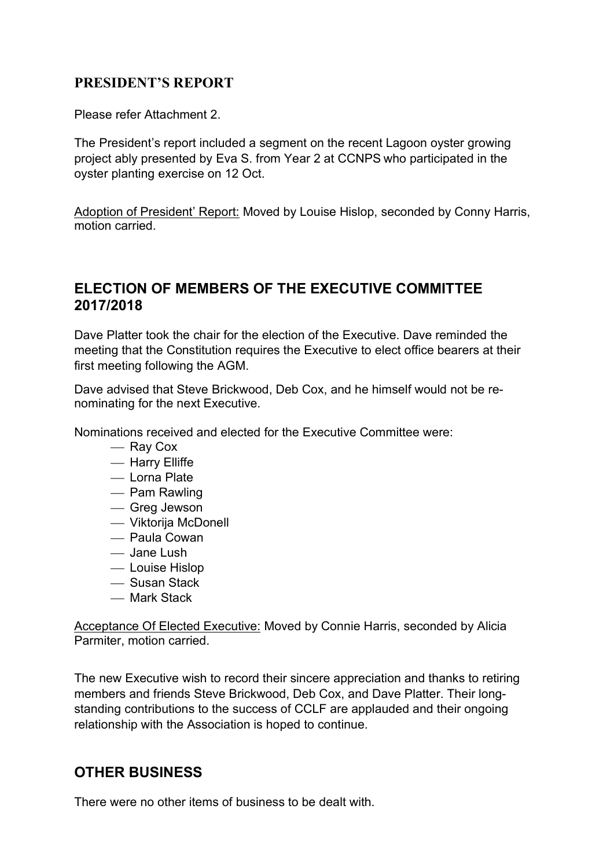#### PRESIDENT'S REPORT

Please refer Attachment 2.

The President's report included a segment on the recent Lagoon oyster growing project ably presented by Eva S. from Year 2 at CCNPS who participated in the oyster planting exercise on 12 Oct.

Adoption of President' Report: Moved by Louise Hislop, seconded by Conny Harris, motion carried.

#### ELECTION OF MEMBERS OF THE EXECUTIVE COMMITTEE 2017/2018

Dave Platter took the chair for the election of the Executive. Dave reminded the meeting that the Constitution requires the Executive to elect office bearers at their first meeting following the AGM.

Dave advised that Steve Brickwood, Deb Cox, and he himself would not be renominating for the next Executive.

Nominations received and elected for the Executive Committee were:

- Ray Cox
- $-$  Harry Elliffe
- Lorna Plate
- Pam Rawling
- Greg Jewson
- Viktorija McDonell
- Paula Cowan
- Jane Lush
- Louise Hislop
- Susan Stack
- Mark Stack

Acceptance Of Elected Executive: Moved by Connie Harris, seconded by Alicia Parmiter, motion carried.

The new Executive wish to record their sincere appreciation and thanks to retiring members and friends Steve Brickwood, Deb Cox, and Dave Platter. Their longstanding contributions to the success of CCLF are applauded and their ongoing relationship with the Association is hoped to continue.

## OTHER BUSINESS

There were no other items of business to be dealt with.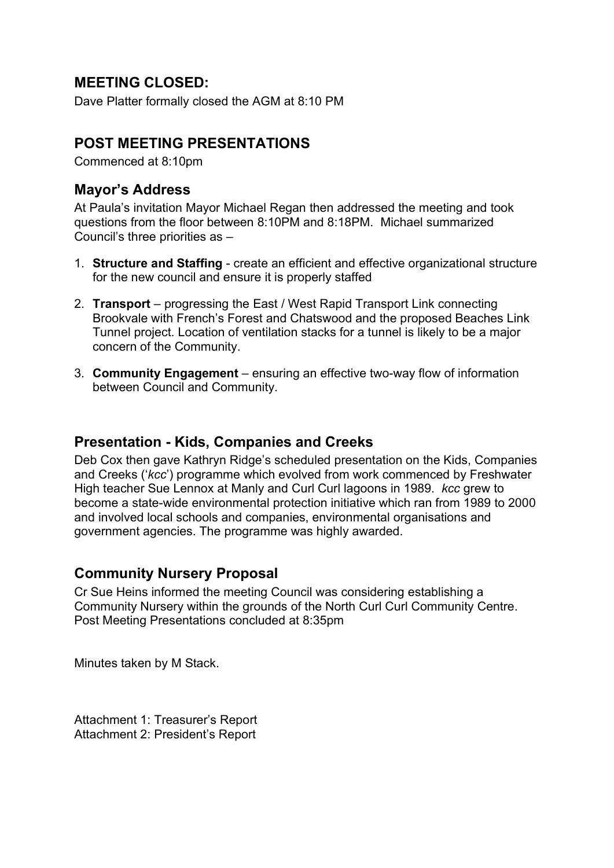## MEETING CLOSED:

Dave Platter formally closed the AGM at 8:10 PM

### POST MEETING PRESENTATIONS

Commenced at 8:10pm

#### Mayor's Address

At Paula's invitation Mayor Michael Regan then addressed the meeting and took questions from the floor between 8:10PM and 8:18PM. Michael summarized Council's three priorities as –

- 1. Structure and Staffing create an efficient and effective organizational structure for the new council and ensure it is properly staffed
- 2. Transport progressing the East / West Rapid Transport Link connecting Brookvale with French's Forest and Chatswood and the proposed Beaches Link Tunnel project. Location of ventilation stacks for a tunnel is likely to be a major concern of the Community.
- 3. Community Engagement ensuring an effective two-way flow of information between Council and Community.

#### Presentation - Kids, Companies and Creeks

Deb Cox then gave Kathryn Ridge's scheduled presentation on the Kids, Companies and Creeks ('kcc') programme which evolved from work commenced by Freshwater High teacher Sue Lennox at Manly and Curl Curl lagoons in 1989. kcc grew to become a state-wide environmental protection initiative which ran from 1989 to 2000 and involved local schools and companies, environmental organisations and government agencies. The programme was highly awarded.

### Community Nursery Proposal

Cr Sue Heins informed the meeting Council was considering establishing a Community Nursery within the grounds of the North Curl Curl Community Centre. Post Meeting Presentations concluded at 8:35pm

Minutes taken by M Stack.

Attachment 1: Treasurer's Report Attachment 2: President's Report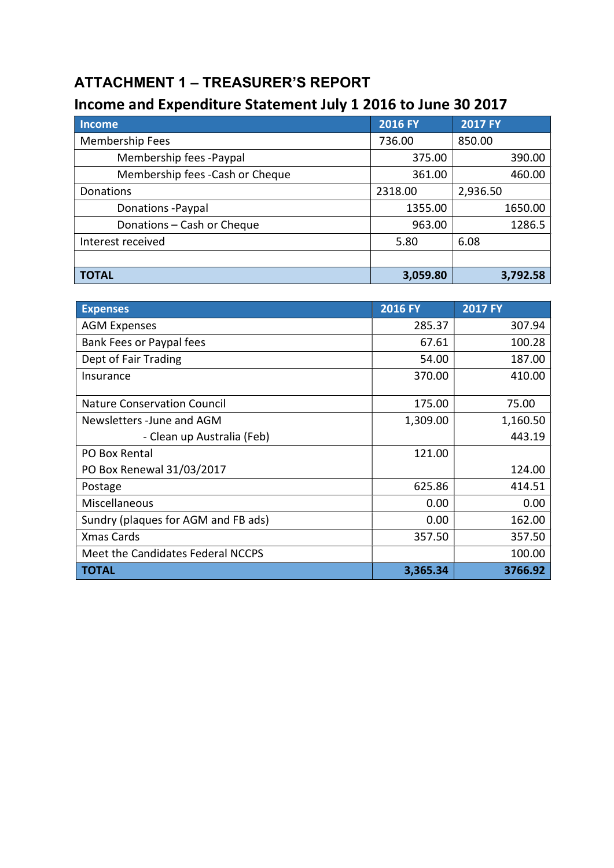## ATTACHMENT 1 – TREASURER'S REPORT

## Income and Expenditure Statement July 1 2016 to June 30 2017

| <b>Income</b>                    | <b>2016 FY</b> | <b>2017 FY</b> |
|----------------------------------|----------------|----------------|
| <b>Membership Fees</b>           | 736.00         | 850.00         |
| Membership fees -Paypal          | 375.00         | 390.00         |
| Membership fees - Cash or Cheque | 361.00         | 460.00         |
| Donations                        | 2318.00        | 2,936.50       |
| Donations - Paypal               | 1355.00        | 1650.00        |
| Donations - Cash or Cheque       | 963.00         | 1286.5         |
| Interest received                | 5.80           | 6.08           |
|                                  |                |                |
| <b>TOTAL</b>                     | 3,059.80       | 3,792.58       |

| <b>Expenses</b>                     | <b>2016 FY</b> | <b>2017 FY</b> |
|-------------------------------------|----------------|----------------|
| <b>AGM Expenses</b>                 | 285.37         | 307.94         |
| Bank Fees or Paypal fees            | 67.61          | 100.28         |
| Dept of Fair Trading                | 54.00          | 187.00         |
| Insurance                           | 370.00         | 410.00         |
| <b>Nature Conservation Council</b>  | 175.00         | 75.00          |
| Newsletters - June and AGM          | 1,309.00       | 1,160.50       |
| - Clean up Australia (Feb)          |                | 443.19         |
| PO Box Rental                       | 121.00         |                |
| PO Box Renewal 31/03/2017           |                | 124.00         |
| Postage                             | 625.86         | 414.51         |
| Miscellaneous                       | 0.00           | 0.00           |
| Sundry (plaques for AGM and FB ads) | 0.00           | 162.00         |
| <b>Xmas Cards</b>                   | 357.50         | 357.50         |
| Meet the Candidates Federal NCCPS   |                | 100.00         |
| <b>TOTAL</b>                        | 3,365.34       | 3766.92        |